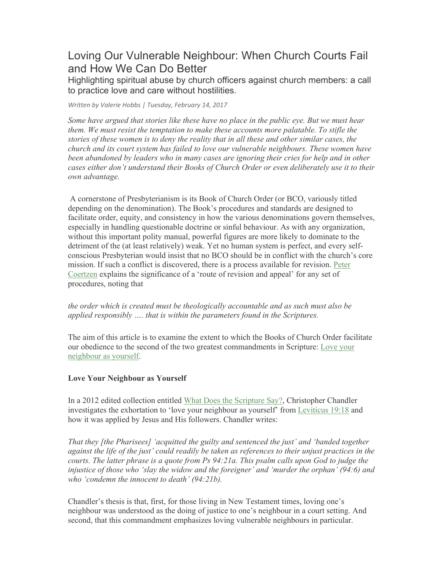# Loving Our Vulnerable Neighbour: When Church Courts Fail and How We Can Do Better

Highlighting spiritual abuse by church officers against church members: a call to practice love and care without hostilities.

*Written by Valerie Hobbs | Tuesday, February 14, 2017*

*Some have argued that stories like these have no place in the public eye. But we must hear them. We must resist the temptation to make these accounts more palatable. To stifle the stories of these women is to deny the reality that in all these and other similar cases, the church and its court system has failed to love our vulnerable neighbours. These women have been abandoned by leaders who in many cases are ignoring their cries for help and in other cases either don't understand their Books of Church Order or even deliberately use it to their own advantage.*

 A cornerstone of Presbyterianism is its Book of Church Order (or BCO, variously titled depending on the denomination). The Book's procedures and standards are designed to facilitate order, equity, and consistency in how the various denominations govern themselves, especially in handling questionable doctrine or sinful behaviour. As with any organization, without this important polity manual, powerful figures are more likely to dominate to the detriment of the (at least relatively) weak. Yet no human system is perfect, and every selfconscious Presbyterian would insist that no BCO should be in conflict with the church's core mission. If such a conflict is discovered, there is a process available for revision. Peter Coertzen explains the significance of a 'route of revision and appeal' for any set of procedures, noting that

*the order which is created must be theologically accountable and as such must also be applied responsibly …. that is within the parameters found in the Scriptures.*

The aim of this article is to examine the extent to which the Books of Church Order facilitate our obedience to the second of the two greatest commandments in Scripture: Love your neighbour as yourself.

## **Love Your Neighbour as Yourself**

In a 2012 edited collection entitled What Does the Scripture Say?, Christopher Chandler investigates the exhortation to 'love your neighbour as yourself' from Leviticus 19:18 and how it was applied by Jesus and His followers. Chandler writes:

*That they [the Pharisees] 'acquitted the guilty and sentenced the just' and 'banded together against the life of the just' could readily be taken as references to their unjust practices in the courts. The latter phrase is a quote from Ps 94:21a. This psalm calls upon God to judge the injustice of those who 'slay the widow and the foreigner' and 'murder the orphan' (94:6) and who 'condemn the innocent to death' (94:21b).*

Chandler's thesis is that, first, for those living in New Testament times, loving one's neighbour was understood as the doing of justice to one's neighbour in a court setting. And second, that this commandment emphasizes loving vulnerable neighbours in particular.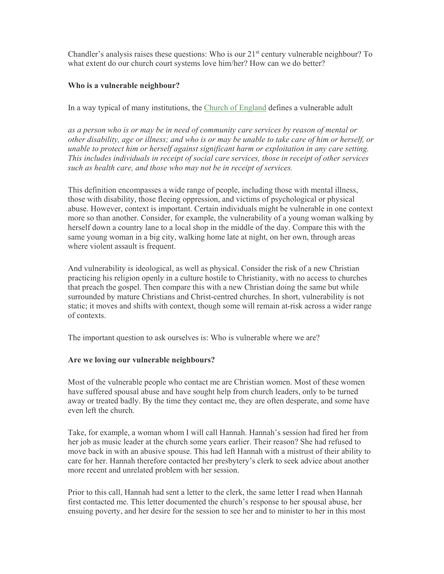Chandler's analysis raises these questions: Who is our  $21<sup>st</sup>$  century vulnerable neighbour? To what extent do our church court systems love him/her? How can we do better?

## **Who is a vulnerable neighbour?**

In a way typical of many institutions, the Church of England defines a vulnerable adult

*as a person who is or may be in need of community care services by reason of mental or other disability, age or illness; and who is or may be unable to take care of him or herself, or unable to protect him or herself against significant harm or exploitation in any care setting. This includes individuals in receipt of social care services, those in receipt of other services such as health care, and those who may not be in receipt of services.*

This definition encompasses a wide range of people, including those with mental illness, those with disability, those fleeing oppression, and victims of psychological or physical abuse. However, context is important. Certain individuals might be vulnerable in one context more so than another. Consider, for example, the vulnerability of a young woman walking by herself down a country lane to a local shop in the middle of the day. Compare this with the same young woman in a big city, walking home late at night, on her own, through areas where violent assault is frequent.

And vulnerability is ideological, as well as physical. Consider the risk of a new Christian practicing his religion openly in a culture hostile to Christianity, with no access to churches that preach the gospel. Then compare this with a new Christian doing the same but while surrounded by mature Christians and Christ-centred churches. In short, vulnerability is not static; it moves and shifts with context, though some will remain at-risk across a wider range of contexts.

The important question to ask ourselves is: Who is vulnerable where we are?

### **Are we loving our vulnerable neighbours?**

Most of the vulnerable people who contact me are Christian women. Most of these women have suffered spousal abuse and have sought help from church leaders, only to be turned away or treated badly. By the time they contact me, they are often desperate, and some have even left the church.

Take, for example, a woman whom I will call Hannah. Hannah's session had fired her from her job as music leader at the church some years earlier. Their reason? She had refused to move back in with an abusive spouse. This had left Hannah with a mistrust of their ability to care for her. Hannah therefore contacted her presbytery's clerk to seek advice about another more recent and unrelated problem with her session.

Prior to this call, Hannah had sent a letter to the clerk, the same letter I read when Hannah first contacted me. This letter documented the church's response to her spousal abuse, her ensuing poverty, and her desire for the session to see her and to minister to her in this most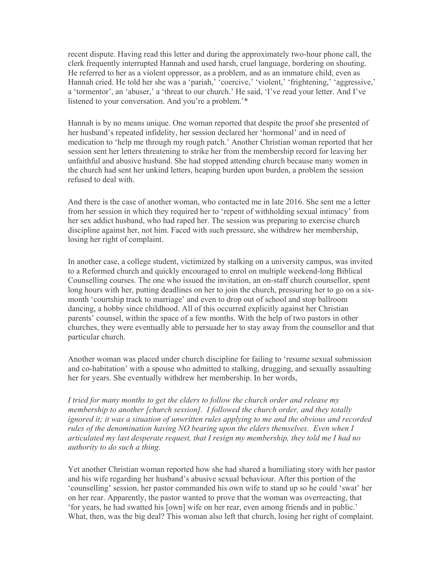recent dispute. Having read this letter and during the approximately two-hour phone call, the clerk frequently interrupted Hannah and used harsh, cruel language, bordering on shouting. He referred to her as a violent oppressor, as a problem, and as an immature child, even as Hannah cried. He told her she was a 'pariah,' 'coercive,' 'violent,' 'frightening,' 'aggressive,' a 'tormentor', an 'abuser,' a 'threat to our church.' He said, 'I've read your letter. And I've listened to your conversation. And you're a problem.'\*

Hannah is by no means unique. One woman reported that despite the proof she presented of her husband's repeated infidelity, her session declared her 'hormonal' and in need of medication to 'help me through my rough patch.' Another Christian woman reported that her session sent her letters threatening to strike her from the membership record for leaving her unfaithful and abusive husband. She had stopped attending church because many women in the church had sent her unkind letters, heaping burden upon burden, a problem the session refused to deal with.

And there is the case of another woman, who contacted me in late 2016. She sent me a letter from her session in which they required her to 'repent of withholding sexual intimacy' from her sex addict husband, who had raped her. The session was preparing to exercise church discipline against her, not him. Faced with such pressure, she withdrew her membership, losing her right of complaint.

In another case, a college student, victimized by stalking on a university campus, was invited to a Reformed church and quickly encouraged to enrol on multiple weekend-long Biblical Counselling courses. The one who issued the invitation, an on-staff church counsellor, spent long hours with her, putting deadlines on her to join the church, pressuring her to go on a sixmonth 'courtship track to marriage' and even to drop out of school and stop ballroom dancing, a hobby since childhood. All of this occurred explicitly against her Christian parents' counsel, within the space of a few months. With the help of two pastors in other churches, they were eventually able to persuade her to stay away from the counsellor and that particular church.

Another woman was placed under church discipline for failing to 'resume sexual submission and co-habitation' with a spouse who admitted to stalking, drugging, and sexually assaulting her for years. She eventually withdrew her membership. In her words,

*I tried for many months to get the elders to follow the church order and release my membership to another [church session]. I followed the church order, and they totally ignored it; it was a situation of unwritten rules applying to me and the obvious and recorded rules of the denomination having NO bearing upon the elders themselves. Even when I articulated my last desperate request, that I resign my membership, they told me I had no authority to do such a thing.*

Yet another Christian woman reported how she had shared a humiliating story with her pastor and his wife regarding her husband's abusive sexual behaviour. After this portion of the 'counselling' session, her pastor commanded his own wife to stand up so he could 'swat' her on her rear. Apparently, the pastor wanted to prove that the woman was overreacting, that 'for years, he had swatted his [own] wife on her rear, even among friends and in public.' What, then, was the big deal? This woman also left that church, losing her right of complaint.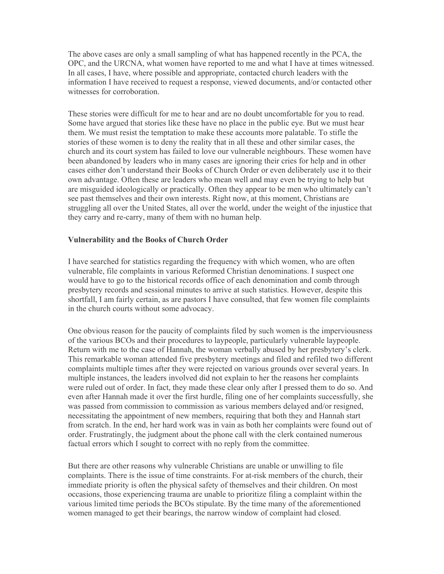The above cases are only a small sampling of what has happened recently in the PCA, the OPC, and the URCNA, what women have reported to me and what I have at times witnessed. In all cases, I have, where possible and appropriate, contacted church leaders with the information I have received to request a response, viewed documents, and/or contacted other witnesses for corroboration.

These stories were difficult for me to hear and are no doubt uncomfortable for you to read. Some have argued that stories like these have no place in the public eye. But we must hear them. We must resist the temptation to make these accounts more palatable. To stifle the stories of these women is to deny the reality that in all these and other similar cases, the church and its court system has failed to love our vulnerable neighbours. These women have been abandoned by leaders who in many cases are ignoring their cries for help and in other cases either don't understand their Books of Church Order or even deliberately use it to their own advantage. Often these are leaders who mean well and may even be trying to help but are misguided ideologically or practically. Often they appear to be men who ultimately can't see past themselves and their own interests. Right now, at this moment, Christians are struggling all over the United States, all over the world, under the weight of the injustice that they carry and re-carry, many of them with no human help.

### **Vulnerability and the Books of Church Order**

I have searched for statistics regarding the frequency with which women, who are often vulnerable, file complaints in various Reformed Christian denominations. I suspect one would have to go to the historical records office of each denomination and comb through presbytery records and sessional minutes to arrive at such statistics. However, despite this shortfall, I am fairly certain, as are pastors I have consulted, that few women file complaints in the church courts without some advocacy.

One obvious reason for the paucity of complaints filed by such women is the imperviousness of the various BCOs and their procedures to laypeople, particularly vulnerable laypeople. Return with me to the case of Hannah, the woman verbally abused by her presbytery's clerk. This remarkable woman attended five presbytery meetings and filed and refiled two different complaints multiple times after they were rejected on various grounds over several years. In multiple instances, the leaders involved did not explain to her the reasons her complaints were ruled out of order. In fact, they made these clear only after I pressed them to do so. And even after Hannah made it over the first hurdle, filing one of her complaints successfully, she was passed from commission to commission as various members delayed and/or resigned, necessitating the appointment of new members, requiring that both they and Hannah start from scratch. In the end, her hard work was in vain as both her complaints were found out of order. Frustratingly, the judgment about the phone call with the clerk contained numerous factual errors which I sought to correct with no reply from the committee.

But there are other reasons why vulnerable Christians are unable or unwilling to file complaints. There is the issue of time constraints. For at-risk members of the church, their immediate priority is often the physical safety of themselves and their children. On most occasions, those experiencing trauma are unable to prioritize filing a complaint within the various limited time periods the BCOs stipulate. By the time many of the aforementioned women managed to get their bearings, the narrow window of complaint had closed.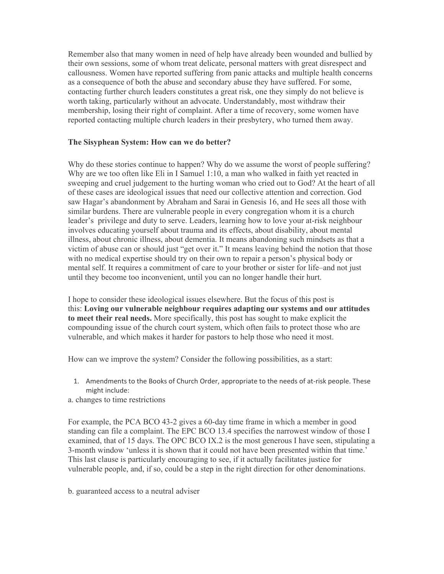Remember also that many women in need of help have already been wounded and bullied by their own sessions, some of whom treat delicate, personal matters with great disrespect and callousness. Women have reported suffering from panic attacks and multiple health concerns as a consequence of both the abuse and secondary abuse they have suffered. For some, contacting further church leaders constitutes a great risk, one they simply do not believe is worth taking, particularly without an advocate. Understandably, most withdraw their membership, losing their right of complaint. After a time of recovery, some women have reported contacting multiple church leaders in their presbytery, who turned them away.

### **The Sisyphean System: How can we do better?**

Why do these stories continue to happen? Why do we assume the worst of people suffering? Why are we too often like Eli in I Samuel 1:10, a man who walked in faith yet reacted in sweeping and cruel judgement to the hurting woman who cried out to God? At the heart of all of these cases are ideological issues that need our collective attention and correction. God saw Hagar's abandonment by Abraham and Sarai in Genesis 16, and He sees all those with similar burdens. There are vulnerable people in every congregation whom it is a church leader's privilege and duty to serve. Leaders, learning how to love your at-risk neighbour involves educating yourself about trauma and its effects, about disability, about mental illness, about chronic illness, about dementia. It means abandoning such mindsets as that a victim of abuse can or should just "get over it." It means leaving behind the notion that those with no medical expertise should try on their own to repair a person's physical body or mental self. It requires a commitment of care to your brother or sister for life–and not just until they become too inconvenient, until you can no longer handle their hurt.

I hope to consider these ideological issues elsewhere. But the focus of this post is this: **Loving our vulnerable neighbour requires adapting our systems and our attitudes to meet their real needs.** More specifically, this post has sought to make explicit the compounding issue of the church court system, which often fails to protect those who are vulnerable, and which makes it harder for pastors to help those who need it most.

How can we improve the system? Consider the following possibilities, as a start:

- 1. Amendments to the Books of Church Order, appropriate to the needs of at-risk people. These might include:
- a. changes to time restrictions

For example, the PCA BCO 43-2 gives a 60-day time frame in which a member in good standing can file a complaint. The EPC BCO 13.4 specifies the narrowest window of those I examined, that of 15 days. The OPC BCO IX.2 is the most generous I have seen, stipulating a 3-month window 'unless it is shown that it could not have been presented within that time.' This last clause is particularly encouraging to see, if it actually facilitates justice for vulnerable people, and, if so, could be a step in the right direction for other denominations.

b. guaranteed access to a neutral adviser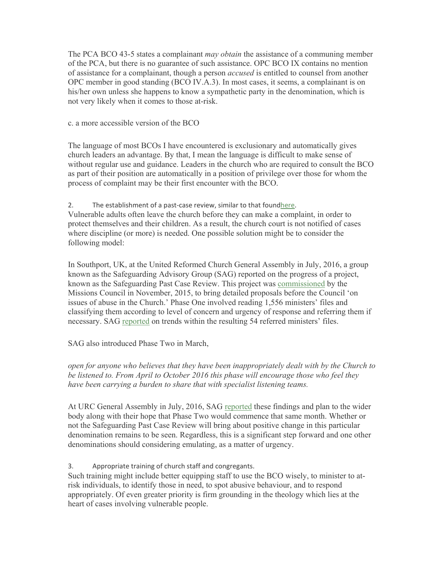The PCA BCO 43-5 states a complainant *may obtain* the assistance of a communing member of the PCA, but there is no guarantee of such assistance. OPC BCO IX contains no mention of assistance for a complainant, though a person *accused* is entitled to counsel from another OPC member in good standing (BCO IV.A.3). In most cases, it seems, a complainant is on his/her own unless she happens to know a sympathetic party in the denomination, which is not very likely when it comes to those at-risk.

c. a more accessible version of the BCO

The language of most BCOs I have encountered is exclusionary and automatically gives church leaders an advantage. By that, I mean the language is difficult to make sense of without regular use and guidance. Leaders in the church who are required to consult the BCO as part of their position are automatically in a position of privilege over those for whom the process of complaint may be their first encounter with the BCO.

2. The establishment of a past-case review, similar to that foundhere.

Vulnerable adults often leave the church before they can make a complaint, in order to protect themselves and their children. As a result, the church court is not notified of cases where discipline (or more) is needed. One possible solution might be to consider the following model:

In Southport, UK, at the United Reformed Church General Assembly in July, 2016, a group known as the Safeguarding Advisory Group (SAG) reported on the progress of a project, known as the Safeguarding Past Case Review. This project was commissioned by the Missions Council in November, 2015, to bring detailed proposals before the Council 'on issues of abuse in the Church.' Phase One involved reading 1,556 ministers' files and classifying them according to level of concern and urgency of response and referring them if necessary. SAG reported on trends within the resulting 54 referred ministers' files.

SAG also introduced Phase Two in March,

*open for anyone who believes that they have been inappropriately dealt with by the Church to be listened to. From April to October 2016 this phase will encourage those who feel they have been carrying a burden to share that with specialist listening teams.*

At URC General Assembly in July, 2016, SAG reported these findings and plan to the wider body along with their hope that Phase Two would commence that same month. Whether or not the Safeguarding Past Case Review will bring about positive change in this particular denomination remains to be seen. Regardless, this is a significant step forward and one other denominations should considering emulating, as a matter of urgency.

3. Appropriate training of church staff and congregants.

Such training might include better equipping staff to use the BCO wisely, to minister to atrisk individuals, to identify those in need, to spot abusive behaviour, and to respond appropriately. Of even greater priority is firm grounding in the theology which lies at the heart of cases involving vulnerable people.